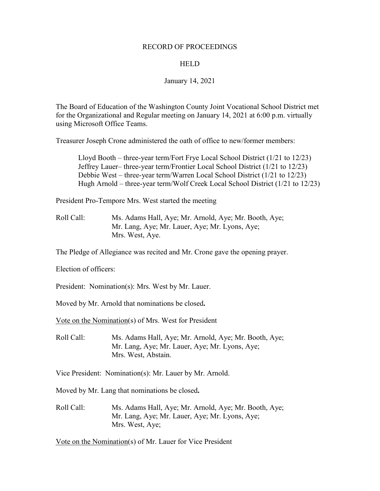### RECORD OF PROCEEDINGS

### **HELD**

### January 14, 2021

The Board of Education of the Washington County Joint Vocational School District met for the Organizational and Regular meeting on January 14, 2021 at 6:00 p.m. virtually using Microsoft Office Teams.

Treasurer Joseph Crone administered the oath of office to new/former members:

Lloyd Booth – three-year term/Fort Frye Local School District (1/21 to 12/23) Jeffrey Lauer– three-year term/Frontier Local School District (1/21 to 12/23) Debbie West – three-year term/Warren Local School District (1/21 to 12/23) Hugh Arnold – three-year term/Wolf Creek Local School District (1/21 to 12/23)

President Pro-Tempore Mrs. West started the meeting

Roll Call: Ms. Adams Hall, Aye; Mr. Arnold, Aye; Mr. Booth, Aye; Mr. Lang, Aye; Mr. Lauer, Aye; Mr. Lyons, Aye; Mrs. West, Aye.

The Pledge of Allegiance was recited and Mr. Crone gave the opening prayer.

Election of officers:

President: Nomination(s): Mrs. West by Mr. Lauer.

Moved by Mr. Arnold that nominations be closed**.**

Vote on the Nomination(s) of Mrs. West for President

Roll Call: Ms. Adams Hall, Aye; Mr. Arnold, Aye; Mr. Booth, Aye; Mr. Lang, Aye; Mr. Lauer, Aye; Mr. Lyons, Aye; Mrs. West, Abstain.

Vice President: Nomination(s): Mr. Lauer by Mr. Arnold.

Moved by Mr. Lang that nominations be closed**.**

Roll Call: Ms. Adams Hall, Aye; Mr. Arnold, Aye; Mr. Booth, Aye; Mr. Lang, Aye; Mr. Lauer, Aye; Mr. Lyons, Aye; Mrs. West, Aye;

Vote on the Nomination(s) of Mr. Lauer for Vice President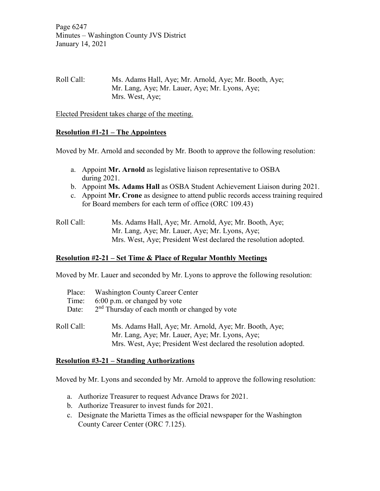Page 6247 Minutes – Washington County JVS District January 14, 2021

# Roll Call: Ms. Adams Hall, Aye; Mr. Arnold, Aye; Mr. Booth, Aye; Mr. Lang, Aye; Mr. Lauer, Aye; Mr. Lyons, Aye; Mrs. West, Aye;

Elected President takes charge of the meeting.

## **Resolution #1-21 – The Appointees**

Moved by Mr. Arnold and seconded by Mr. Booth to approve the following resolution:

- a. Appoint **Mr. Arnold** as legislative liaison representative to OSBA during 2021.
- b. Appoint **Ms. Adams Hall** as OSBA Student Achievement Liaison during 2021.
- c. Appoint **Mr. Crone** as designee to attend public records access training required for Board members for each term of office (ORC 109.43)
- Roll Call: Ms. Adams Hall, Aye; Mr. Arnold, Aye; Mr. Booth, Aye; Mr. Lang, Aye; Mr. Lauer, Aye; Mr. Lyons, Aye; Mrs. West, Aye; President West declared the resolution adopted.

## **Resolution #2-21 – Set Time & Place of Regular Monthly Meetings**

Moved by Mr. Lauer and seconded by Mr. Lyons to approve the following resolution:

| Place:     | <b>Washington County Career Center</b>                          |
|------------|-----------------------------------------------------------------|
| Time:      | 6:00 p.m. or changed by vote                                    |
| Date:      | 2 <sup>nd</sup> Thursday of each month or changed by vote       |
|            |                                                                 |
| Roll Call: | Ms. Adams Hall, Aye; Mr. Arnold, Aye; Mr. Booth, Aye;           |
|            | Mr. Lang, Aye; Mr. Lauer, Aye; Mr. Lyons, Aye;                  |
|            | Mrs. West, Aye; President West declared the resolution adopted. |

## **Resolution #3-21 – Standing Authorizations**

Moved by Mr. Lyons and seconded by Mr. Arnold to approve the following resolution:

- a. Authorize Treasurer to request Advance Draws for 2021.
- b. Authorize Treasurer to invest funds for 2021.
- c. Designate the Marietta Times as the official newspaper for the Washington County Career Center (ORC 7.125).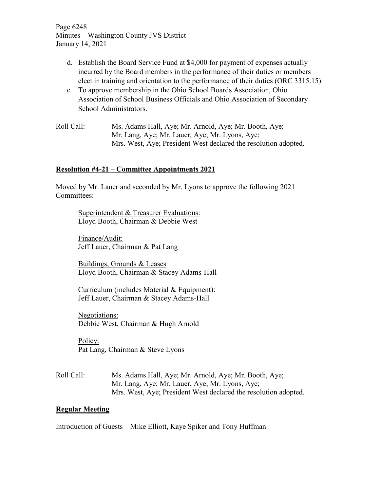Page 6248 Minutes – Washington County JVS District January 14, 2021

- d. Establish the Board Service Fund at \$4,000 for payment of expenses actually incurred by the Board members in the performance of their duties or members elect in training and orientation to the performance of their duties (ORC 3315.15).
- e. To approve membership in the Ohio School Boards Association, Ohio Association of School Business Officials and Ohio Association of Secondary School Administrators.
- Roll Call: Ms. Adams Hall, Aye; Mr. Arnold, Aye; Mr. Booth, Aye; Mr. Lang, Aye; Mr. Lauer, Aye; Mr. Lyons, Aye; Mrs. West, Aye; President West declared the resolution adopted.

# **Resolution #4-21 – Committee Appointments 2021**

Moved by Mr. Lauer and seconded by Mr. Lyons to approve the following 2021 Committees:

Superintendent & Treasurer Evaluations: Lloyd Booth, Chairman & Debbie West

Finance/Audit: Jeff Lauer, Chairman & Pat Lang

Buildings, Grounds & Leases Lloyd Booth, Chairman & Stacey Adams-Hall

Curriculum (includes Material & Equipment): Jeff Lauer, Chairman & Stacey Adams-Hall

Negotiations: Debbie West, Chairman & Hugh Arnold

Policy: Pat Lang, Chairman & Steve Lyons

Roll Call: Ms. Adams Hall, Aye; Mr. Arnold, Aye; Mr. Booth, Aye; Mr. Lang, Aye; Mr. Lauer, Aye; Mr. Lyons, Aye; Mrs. West, Aye; President West declared the resolution adopted.

## **Regular Meeting**

Introduction of Guests – Mike Elliott, Kaye Spiker and Tony Huffman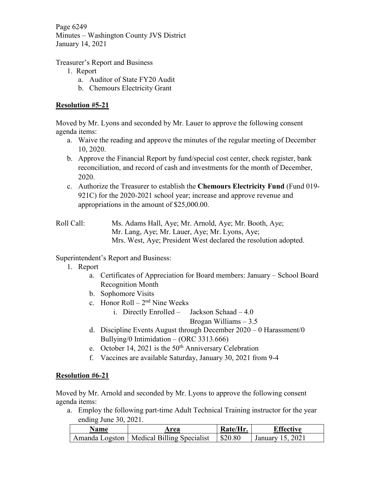Page 6249 Minutes – Washington County JVS District January 14, 2021

Treasurer's Report and Business

- 1. Report
	- a. Auditor of State FY20 Audit
	- b. Chemours Electricity Grant

# **Resolution #5-21**

Moved by Mr. Lyons and seconded by Mr. Lauer to approve the following consent agenda items:

- a. Waive the reading and approve the minutes of the regular meeting of December 10, 2020.
- b. Approve the Financial Report by fund/special cost center, check register, bank reconciliation, and record of cash and investments for the month of December, 2020.
- c. Authorize the Treasurer to establish the **Chemours Electricity Fund** (Fund 019- 921C) for the 2020-2021 school year; increase and approve revenue and appropriations in the amount of \$25,000.00.
- Roll Call: Ms. Adams Hall, Aye; Mr. Arnold, Aye; Mr. Booth, Aye; Mr. Lang, Aye; Mr. Lauer, Aye; Mr. Lyons, Aye; Mrs. West, Aye; President West declared the resolution adopted.

Superintendent's Report and Business:

- 1. Report
	- a. Certificates of Appreciation for Board members: January School Board Recognition Month
	- b. Sophomore Visits
	- c. Honor Roll  $2<sup>nd</sup>$  Nine Weeks
		- i. Directly Enrolled Jackson Schaad 4.0

Brogan Williams – 3.5

- d. Discipline Events August through December 2020 0 Harassment/0 Bullying/0 Intimidation – (ORC 3313.666)
- e. October 14, 2021 is the  $50<sup>th</sup>$  Anniversary Celebration
- f. Vaccines are available Saturday, January 30, 2021 from 9-4

## **Resolution #6-21**

Moved by Mr. Arnold and seconded by Mr. Lyons to approve the following consent agenda items:

a. Employ the following part-time Adult Technical Training instructor for the year ending June 30, 2021.

| <b>Name</b> | Area                                        | Rate/Hr           | Effective        |
|-------------|---------------------------------------------|-------------------|------------------|
|             | Amanda Logston   Medical Billing Specialist | $\frac{$20.80}{}$ | January 15, 2021 |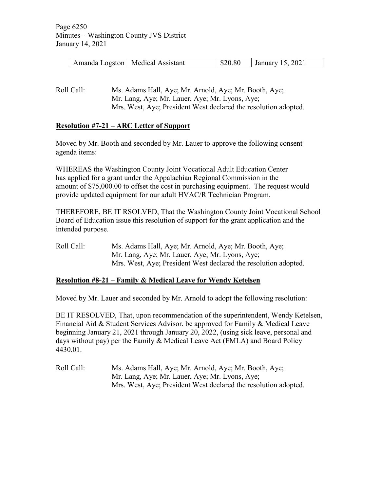| Amanda Logston   Medical Assistant | \$20.80 | January 15, 2021 |
|------------------------------------|---------|------------------|
|------------------------------------|---------|------------------|

Roll Call: Ms. Adams Hall, Aye; Mr. Arnold, Aye; Mr. Booth, Aye; Mr. Lang, Aye; Mr. Lauer, Aye; Mr. Lyons, Aye; Mrs. West, Aye; President West declared the resolution adopted.

## **Resolution #7-21 – ARC Letter of Support**

Moved by Mr. Booth and seconded by Mr. Lauer to approve the following consent agenda items:

WHEREAS the Washington County Joint Vocational Adult Education Center has applied for a grant under the Appalachian Regional Commission in the amount of \$75,000.00 to offset the cost in purchasing equipment. The request would provide updated equipment for our adult HVAC/R Technician Program.

THEREFORE, BE IT RSOLVED, That the Washington County Joint Vocational School Board of Education issue this resolution of support for the grant application and the intended purpose.

Roll Call: Ms. Adams Hall, Aye; Mr. Arnold, Aye; Mr. Booth, Aye; Mr. Lang, Aye; Mr. Lauer, Aye; Mr. Lyons, Aye; Mrs. West, Aye; President West declared the resolution adopted.

## **Resolution #8-21 – Family & Medical Leave for Wendy Ketelsen**

Moved by Mr. Lauer and seconded by Mr. Arnold to adopt the following resolution:

BE IT RESOLVED, That, upon recommendation of the superintendent, Wendy Ketelsen, Financial Aid & Student Services Advisor, be approved for Family & Medical Leave beginning January 21, 2021 through January 20, 2022, (using sick leave, personal and days without pay) per the Family & Medical Leave Act (FMLA) and Board Policy 4430.01.

Roll Call: Ms. Adams Hall, Aye; Mr. Arnold, Aye; Mr. Booth, Aye; Mr. Lang, Aye; Mr. Lauer, Aye; Mr. Lyons, Aye; Mrs. West, Aye; President West declared the resolution adopted.